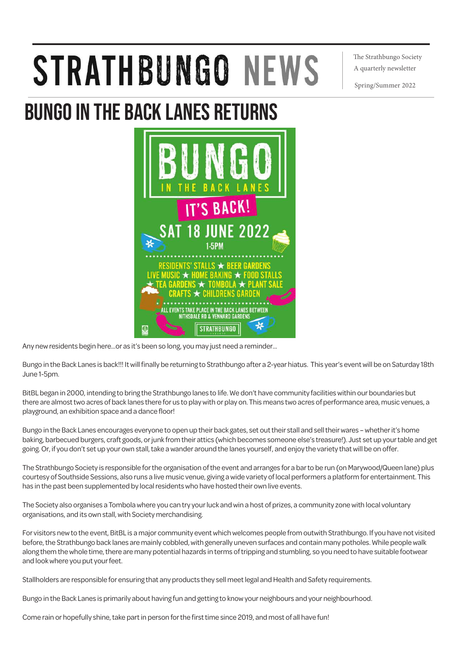# **STRATHBUNGO NEWS**

A quarterly newsletter The Strathbungo Society

Spring/Summer 2022

## BUNGO IN THE BACK LANES RETURNS



Any new residents begin here…or as it's been so long, you may just need a reminder…

Bungo in the Back Lanes is back!!! It will finally be returning to Strathbungo after a 2-year hiatus. This year's event will be on Saturday 18th June 1-5pm.

BitBL began in 2000, intending to bring the Strathbungo lanes to life. We don't have community facilities within our boundaries but there are almost two acres of back lanes there for us to play with or play on. This means two acres of performance area, music venues, a playground, an exhibition space and a dance floor!

Bungo in the Back Lanes encourages everyone to open up their back gates, set out their stall and sell their wares – whether it's home baking, barbecued burgers, craft goods, or junk from their attics (which becomes someone else's treasure!). Just set up your table and get going. Or, if you don't set up your own stall, take a wander around the lanes yourself, and enjoy the variety that will be on offer.

The Strathbungo Society is responsible for the organisation of the event and arranges for a bar to be run (on Marywood/Queen lane) plus courtesy of Southside Sessions, also runs a live music venue, giving a wide variety of local performers a platform for entertainment. This has in the past been supplemented by local residents who have hosted their own live events.

The Society also organises a Tombola where you can try your luck and win a host of prizes, a community zone with local voluntary organisations, and its own stall, with Society merchandising.

For visitors new to the event, BitBL is a major community event which welcomes people from outwith Strathbungo. If you have not visited before, the Strathbungo back lanes are mainly cobbled, with generally uneven surfaces and contain many potholes. While people walk along them the whole time, there are many potential hazards in terms of tripping and stumbling, so you need to have suitable footwear and look where you put your feet.

Stallholders are responsible for ensuring that any products they sell meet legal and Health and Safety requirements.

Bungo in the Back Lanes is primarily about having fun and getting to know your neighbours and your neighbourhood.

Come rain or hopefully shine, take part in person for the first time since 2019, and most of all have fun!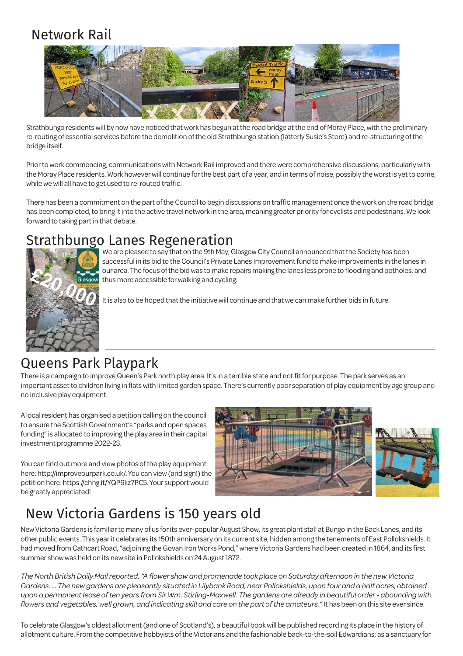#### Network Rail



Strathbungo residents will by now have noticed that work has begun at the road bridge at the end of Moray Place, with the preliminary re-routing of essential services before the demolition of the old Strathbungo station (latterly Susie's Store) and re-structuring of the bridge itself.

Prior to work commencing, communications with Network Rail improved and there were comprehensive discussions, particularly with the Moray Place residents. Work however will continue for the best part of a year, and in terms of noise, possibly the worst is yet to come, while we will all have to get used to re-routed traffic.

There has been a commitment on the part of the Council to begin discussions on traffic management once the work on the road bridge has been completed, to bring it into the active travel network in the area, meaning greater priority for cyclists and pedestrians. We look forward to taking part in that debate.

### Strathbungo Lanes Regeneration



We are pleased to say that on the 9th May, Glasgow City Council announced that the Society has been successful in its bid to the Council's Private Lanes Improvement fund to make improvements in the lanes in our area. The focus of the bid was to make repairs making the lanes less prone to flooding and potholes, and thus more accessible for walking and cycling.

It is also to be hoped that the initiative will continue and that we can make further bids in future.

### Queens Park Playpark

There is a campaign to improve Queen's Park north play area. It's in a terrible state and not fit for purpose. The park serves as an important asset to children living in flats with limited garden space. There's currently poor separation of play equipment by age group and no inclusive play equipment.

A local resident has organised a petition calling on the council to ensure the Scottish Government's "parks and open spaces funding" is allocated to improving the play area in their capital investment programme 2022-23.

You can find out more and view photos of the play equipment here: http://improveourpark.co.uk/. You can view (and sign!) the petition here: https://chng.it/YQP6kz7PC5. Your support would be greatly appreciated!



## New Victoria Gardens is 150 years old

New Victoria Gardens is familiar to many of us for its ever-popular August Show, its great plant stall at Bungo in the Back Lanes, and its other public events. This year it celebrates its 150th anniversary on its current site, hidden among the tenements of East Pollokshields. It had moved from Cathcart Road, "adjoining the Govan Iron Works Pond," where Victoria Gardens had been created in 1864, and its first summer show was held on its new site in Pollokshields on 24 August 1872.

*The North British Daily Mail reported, "A flower show and promenade took place on Saturday afternoon in the new Victoria Gardens. … The new gardens are pleasantly situated in Lilybank Road, near Pollokshields, upon four and a half acres, obtained upon a permanent lease of ten years from Sir Wm. Stirling-Maxwell. The gardens are already in beautiful order - abounding with flowers and vegetables, well grown, and indicating skill and care on the part of the amateurs."* It has been on this site ever since.

To celebrate Glasgow's oldest allotment (and one of Scotland's), a beautiful book will be published recording its place in the history of allotment culture. From the competitive hobbyists of the Victorians and the fashionable back-to-the-soil Edwardians; as a sanctuary for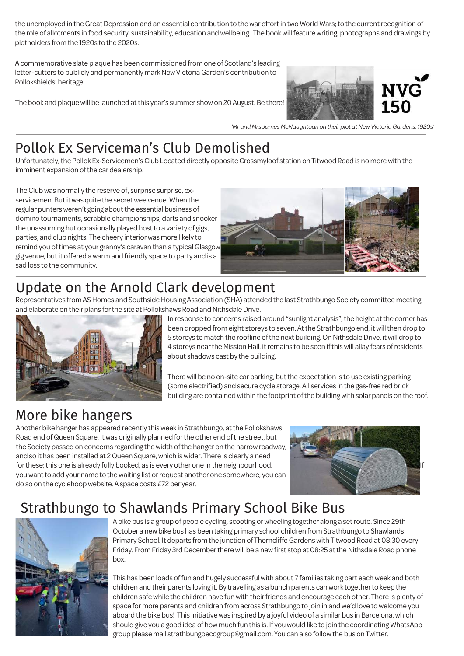the unemployed in the Great Depression and an essential contribution to the war effort in two World Wars; to the current recognition of the role of allotments in food security, sustainability, education and wellbeing. The book will feature writing, photographs and drawings by plotholders from the 1920s to the 2020s.

A commemorative slate plaque has been commissioned from one of Scotland's leading letter-cutters to publicly and permanently mark New Victoria Garden's contribution to Pollokshields' heritage.

The book and plaque will be launched at this year's summer show on 20 August. Be there!



*'Mr and Mrs James McNaughtoan on their plot at New Victoria Gardens, 1920s'*

## Pollok Ex Serviceman's Club Demolished

Unfortunately, the Pollok Ex-Servicemen's Club Located directly opposite Crossmyloof station on Titwood Road is no more with the imminent expansion of the car dealership.

The Club was normally the reserve of, surprise surprise, exservicemen. But it was quite the secret wee venue. When the regular punters weren't going about the essential business of domino tournaments, scrabble championships, darts and snooker the unassuming hut occasionally played host to a variety of gigs, parties, and club nights. The cheery interior was more likely to remind you of times at your granny's caravan than a typical Glasgow gig venue, but it offered a warm and friendly space to party and is a sad loss to the community.



## Update on the Arnold Clark development

Representatives from AS Homes and Southside Housing Association (SHA) attended the last Strathbungo Society committee meeting and elaborate on their plans for the site at Pollokshaws Road and Nithsdale Drive.



#### More bike hangers

In response to concerns raised around "sunlight analysis", the height at the corner has been dropped from eight storeys to seven. At the Strathbungo end, it will then drop to 5 storeys to match the roofline of the next building. On Nithsdale Drive, it will drop to 4 storeys near the Mission Hall. it remains to be seen if this will allay fears of residents about shadows cast by the building.

There will be no on-site car parking, but the expectation is to use existing parking (some electrified) and secure cycle storage. All services in the gas-free red brick building are contained within the footprint of the building with solar panels on the roof.

Another bike hanger has appeared recently this week in Strathbungo, at the Pollokshaws Road end of Queen Square. It was originally planned for the other end of the street, but the Society passed on concerns regarding the width of the hanger on the narrow roadway, and so it has been installed at 2 Queen Square, which is wider. There is clearly a need for these; this one is already fully booked, as is every other one in the neighbourhood. you want to add your name to the waiting list or request another one somewhere, you can do so on the cyclehoop website. A space costs £72 per year.



## Strathbungo to Shawlands Primary School Bike Bus



A bike bus is a group of people cycling, scooting or wheeling together along a set route. Since 29th October a new bike bus has been taking primary school children from Strathbungo to Shawlands Primary School. It departs from the junction of Thorncliffe Gardens with Titwood Road at 08:30 every Friday. From Friday 3rd December there will be a new first stop at 08:25 at the Nithsdale Road phone box.

This has been loads of fun and hugely successful with about 7 families taking part each week and both children and their parents loving it. By travelling as a bunch parents can work together to keep the children safe while the children have fun with their friends and encourage each other. There is plenty of space for more parents and children from across Strathbungo to join in and we'd love to welcome you aboard the bike bus! This initiative was inspired by a joyful video of a similar bus in Barcelona, which should give you a good idea of how much fun this is. If you would like to join the coordinating WhatsApp group please mail strathbungoecogroup@gmail.com. You can also follow the bus on Twitter.